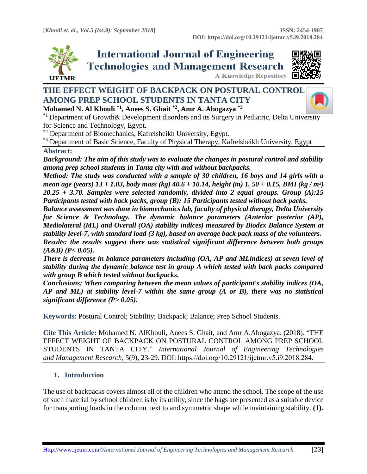





# **THE EFFECT WEIGHT OF BACKPACK ON POSTURAL CONTROL AMONG PREP SCHOOL STUDENTS IN TANTA CITY Mohamed N. Al Khouli \*1, Anees S. Ghait \*2, Amr A. Abogazya \*3**



 $*$ <sup>1</sup> Department of Growth & Development disorders and its Surgery in Pediatric, Delta Univ[ersity](https://crossmark.crossref.org/dialog/?doi=10.29121/ijetmr.v5.i9.2018.284&domain=pdf&date_stamp=2018-09-30)

for Science and Technology, Egypt.

\*2 Department of Biomechanics, Kafrelsheikh University, Egypt.

<sup>\*3</sup> Department of Basic Science, Faculty of Physical Therapy, Kafrelsheikh University, Egypt

#### **Abstract:**

*Background: The aim of this study was to evaluate the changes in postural control and stability among prep school students in Tanta city with and without backpacks.* 

*Method: The study was conducted with a sample of 30 children, 16 boys and 14 girls with a mean age (years) 13 + 1.03, body mass (kg) 40.6 + 10.14, height (m) 1, 50 + 0.15, BMI (kg / m²) 20.25 + 3.70. Samples were selected randomly, divided into 2 equal groups. Group (A):15 Participants tested with back packs, group (B): 15 Participants tested without back packs.* 

*Balance assessment was done in biomechanics lab, faculty of physical therapy, Delta University for Science & Technology. The dynamic balance parameters (Anterior posterior (AP), Mediolateral (ML) and Overall (OA) stability indices) measured by Biodex Balance System at stability level-7, with standard load (3 kg), based on average back pack mass of the volunteers. Results: the results suggest there was statistical significant difference between both groups (A&B) (P< 0.05).* 

*There is decrease in balance parameters including (OA, AP and MLindices) at seven level of stability during the dynamic balance test in group A which tested with back packs compared with group B which tested without backpacks.* 

*Conclusions: When comparing between the mean values of participant's stability indices (OA, AP and ML) at stability level-7 within the same group (A or B), there was no statistical significant difference (P> 0.05).*

**Keywords:** Postural Control; Stability; Backpack; Balance; Prep School Students*.* 

**Cite This Article:** Mohamed N. AlKhouli, Anees S. Ghait, and Amr A.Abogazya. (2018). "THE EFFECT WEIGHT OF BACKPACK ON POSTURAL CONTROL AMONG PREP SCHOOL STUDENTS IN TANTA CITY." *International Journal of Engineering Technologies and Management Research,* 5(9), 23-29. DOI: https://doi.org/10.29121/ijetmr.v5.i9.2018.284.

## **1. Introduction**

The use of backpacks covers almost all of the children who attend the school. The scope of the use of such material by school children is by its utility, since the bags are presented as a suitable device for transporting loads in the column next to and symmetric shape while maintaining stability. **(1).**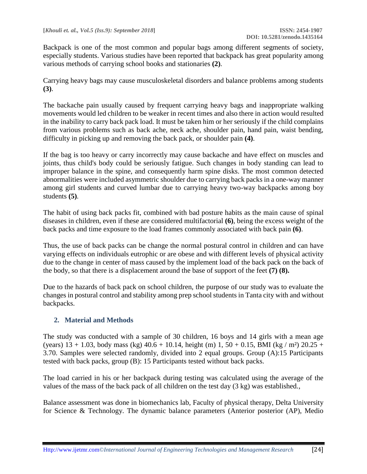Backpack is one of the most common and popular bags among different segments of society, especially students. Various studies have been reported that backpack has great popularity among various methods of carrying school books and stationaries **(2)**.

Carrying heavy bags may cause musculoskeletal disorders and balance problems among students **(3)**.

The backache pain usually caused by frequent carrying heavy bags and inappropriate walking movements would led children to be weaker in recent times and also there in action would resulted in the inability to carry back pack load. It must be taken him or her seriously if the child complains from various problems such as back ache, neck ache, shoulder pain, hand pain, waist bending, difficulty in picking up and removing the back pack, or shoulder pain **(4)**.

If the bag is too heavy or carry incorrectly may cause backache and have effect on muscles and joints, thus child's body could be seriously fatigue. Such changes in body standing can lead to improper balance in the spine, and consequently harm spine disks. The most common detected abnormalities were included asymmetric shoulder due to carrying back packs in a one-way manner among girl students and curved lumbar due to carrying heavy two-way backpacks among boy students **(5)**.

The habit of using back packs fit, combined with bad posture habits as the main cause of spinal diseases in children, even if these are considered multifactorial **(6)**, being the excess weight of the back packs and time exposure to the load frames commonly associated with back pain **(6)**.

Thus, the use of back packs can be change the normal postural control in children and can have varying effects on individuals eutrophic or are obese and with different levels of physical activity due to the change in center of mass caused by the implement load of the back pack on the back of the body, so that there is a displacement around the base of support of the feet **(7) (8).**

Due to the hazards of back pack on school children, the purpose of our study was to evaluate the changes in postural control and stability among prep school students in Tanta city with and without backpacks.

## **2. Material and Methods**

The study was conducted with a sample of 30 children, 16 boys and 14 girls with a mean age (years)  $13 + 1.03$ , body mass (kg)  $40.6 + 10.14$ , height (m) 1,  $50 + 0.15$ , BMI (kg / m<sup>2</sup>) 20.25 + 3.70. Samples were selected randomly, divided into 2 equal groups. Group (A):15 Participants tested with back packs, group (B): 15 Participants tested without back packs.

The load carried in his or her backpack during testing was calculated using the average of the values of the mass of the back pack of all children on the test day (3 kg) was established.*,*

Balance assessment was done in biomechanics lab, Faculty of physical therapy, Delta University for Science & Technology. The dynamic balance parameters (Anterior posterior (AP), Medio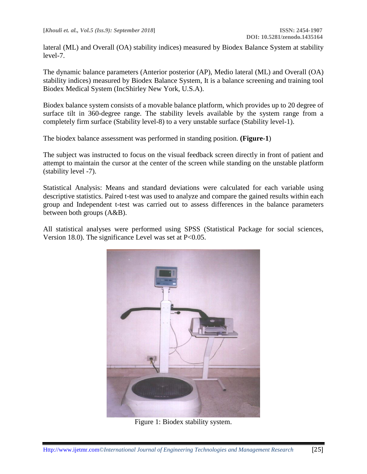lateral (ML) and Overall (OA) stability indices) measured by Biodex Balance System at stability level-7.

The dynamic balance parameters (Anterior posterior (AP), Medio lateral (ML) and Overall (OA) stability indices) measured by Biodex Balance System, It is a balance screening and training tool Biodex Medical System (IncShirley New York, U.S.A).

Biodex balance system consists of a movable balance platform, which provides up to 20 degree of surface tilt in 360-degree range. The stability levels available by the system range from a completely firm surface (Stability level-8) to a very unstable surface (Stability level-1).

The biodex balance assessment was performed in standing position. **(Figure-1**)

The subject was instructed to focus on the visual feedback screen directly in front of patient and attempt to maintain the cursor at the center of the screen while standing on the unstable platform (stability level -7).

Statistical Analysis: Means and standard deviations were calculated for each variable using descriptive statistics. Paired t-test was used to analyze and compare the gained results within each group and Independent t-test was carried out to assess differences in the balance parameters between both groups (A&B).

All statistical analyses were performed using SPSS (Statistical Package for social sciences, Version 18.0). The significance Level was set at  $P<0.05$ .



Figure 1: Biodex stability system.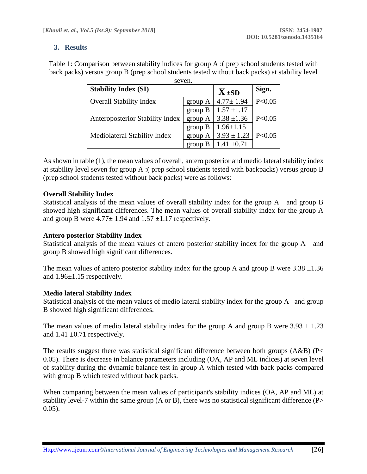## **3. Results**

Table 1: Comparison between stability indices for group A :( prep school students tested with back packs) versus group B (prep school students tested without back packs) at stability level seven.

| 90 V VII.                              |           |                 |          |
|----------------------------------------|-----------|-----------------|----------|
| <b>Stability Index (SI)</b>            |           | $X \pm SD$      | Sign.    |
| <b>Overall Stability Index</b>         | group $A$ | $4.77 \pm 1.94$ | P<0.05   |
|                                        | group B   | $1.57 \pm 1.17$ |          |
| <b>Anteroposterior Stability Index</b> | group A   | $3.38 \pm 1.36$ | P < 0.05 |
|                                        | group B   | $1.96 \pm 1.15$ |          |
| Mediolateral Stability Index           | group A   | $3.93 \pm 1.23$ | P < 0.05 |
|                                        | group B   | $1.41 \pm 0.71$ |          |

As shown in table (1), the mean values of overall, antero posterior and medio lateral stability index at stability level seven for group A :( prep school students tested with backpacks) versus group B (prep school students tested without back packs) were as follows:

## **Overall Stability Index**

Statistical analysis of the mean values of overall stability index for the group A and group B showed high significant differences. The mean values of overall stability index for the group A and group B were  $4.77 \pm 1.94$  and  $1.57 \pm 1.17$  respectively.

## **Antero posterior Stability Index**

Statistical analysis of the mean values of antero posterior stability index for the group A and group B showed high significant differences.

The mean values of antero posterior stability index for the group A and group B were  $3.38 \pm 1.36$ and 1.96±1.15 respectively.

## **Medio lateral Stability Index**

Statistical analysis of the mean values of medio lateral stability index for the group A and group B showed high significant differences.

The mean values of medio lateral stability index for the group A and group B were  $3.93 \pm 1.23$ and  $1.41 \pm 0.71$  respectively.

The results suggest there was statistical significant difference between both groups (A&B) (P< 0.05). There is decrease in balance parameters including (OA, AP and ML indices) at seven level of stability during the dynamic balance test in group A which tested with back packs compared with group B which tested without back packs.

When comparing between the mean values of participant's stability indices (OA, AP and ML) at stability level-7 within the same group (A or B), there was no statistical significant difference (P>  $0.05$ ).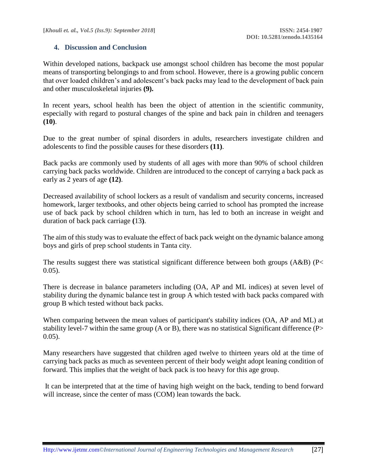## **4. Discussion and Conclusion**

Within developed nations, backpack use amongst school children has become the most popular means of transporting belongings to and from school. However, there is a growing public concern that over loaded children's and adolescent's back packs may lead to the development of back pain and other musculoskeletal injuries **(9).**

In recent years, school health has been the object of attention in the scientific community, especially with regard to postural changes of the spine and back pain in children and teenagers **(10)**.

Due to the great number of spinal disorders in adults, researchers investigate children and adolescents to find the possible causes for these disorders **(11)**.

Back packs are commonly used by students of all ages with more than 90% of school children carrying back packs worldwide. Children are introduced to the concept of carrying a back pack as early as 2 years of age **(12)**.

Decreased availability of school lockers as a result of vandalism and security concerns, increased homework, larger textbooks, and other objects being carried to school has prompted the increase use of back pack by school children which in turn, has led to both an increase in weight and duration of back pack carriage **(**13**)**.

The aim of this study was to evaluate the effect of back pack weight on the dynamic balance among boys and girls of prep school students in Tanta city.

The results suggest there was statistical significant difference between both groups (A&B) (P<  $0.05$ ).

There is decrease in balance parameters including (OA, AP and ML indices) at seven level of stability during the dynamic balance test in group A which tested with back packs compared with group B which tested without back packs.

When comparing between the mean values of participant's stability indices (OA, AP and ML) at stability level-7 within the same group (A or B), there was no statistical Significant difference (P>  $0.05$ ).

Many researchers have suggested that children aged twelve to thirteen years old at the time of carrying back packs as much as seventeen percent of their body weight adopt leaning condition of forward. This implies that the weight of back pack is too heavy for this age group.

It can be interpreted that at the time of having high weight on the back, tending to bend forward will increase, since the center of mass (COM) lean towards the back.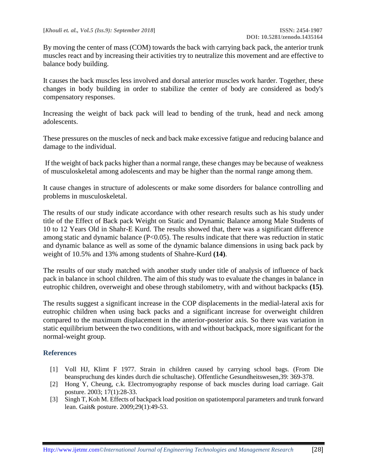By moving the center of mass (COM) towards the back with carrying back pack, the anterior trunk muscles react and by increasing their activities try to neutralize this movement and are effective to balance body building.

It causes the back muscles less involved and dorsal anterior muscles work harder. Together, these changes in body building in order to stabilize the center of body are considered as body's compensatory responses.

Increasing the weight of back pack will lead to bending of the trunk, head and neck among adolescents.

These pressures on the muscles of neck and back make excessive fatigue and reducing balance and damage to the individual.

If the weight of back packs higher than a normal range, these changes may be because of weakness of musculoskeletal among adolescents and may be higher than the normal range among them.

It cause changes in structure of adolescents or make some disorders for balance controlling and problems in musculoskeletal.

The results of our study indicate accordance with other research results such as his study under title of the Effect of Back pack Weight on Static and Dynamic Balance among Male Students of 10 to 12 Years Old in Shahr-E Kurd. The results showed that, there was a significant difference among static and dynamic balance (P<0.05). The results indicate that there was reduction in static and dynamic balance as well as some of the dynamic balance dimensions in using back pack by weight of 10.5% and 13% among students of Shahre-Kurd **(14)**.

The results of our study matched with another study under title of analysis of influence of back pack in balance in school children. The aim of this study was to evaluate the changes in balance in eutrophic children, overweight and obese through stabilometry, with and without backpacks **(15)**.

The results suggest a significant increase in the COP displacements in the medial-lateral axis for eutrophic children when using back packs and a significant increase for overweight children compared to the maximum displacement in the anterior-posterior axis. So there was variation in static equilibrium between the two conditions, with and without backpack, more significant for the normal-weight group.

## **References**

- [1] Voll HJ, Klimt F 1977. Strain in children caused by carrying school bags. (From Die beanspruchung des kindes durch die schultasche). Offentliche Gesundheitswesen,39: 369-378.
- [2] Hong Y, Cheung, c.k. Electromyography response of back muscles during load carriage. Gait posture. 2003; 17(1):28-33.
- [3] Singh T, Koh M. Effects of backpack load position on spatiotemporal parameters and trunk forward lean. Gait& posture. 2009;29(1):49-53.